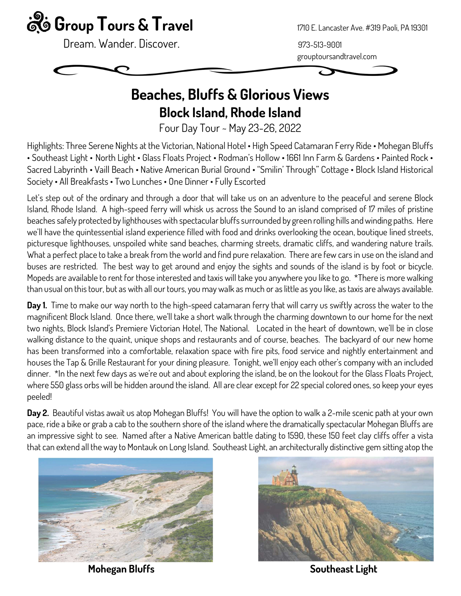

Dream. Wander. Discover. **Example 2018** 1973-513-9001

grouptoursandtravel.com



## Beaches, Bluffs & Glorious Views Block Island, Rhode Island

Four Day Tour ~ May 23-26, 2022

Highlights: Three Serene Nights at the Victorian, National Hotel • High Speed Catamaran Ferry Ride • Mohegan Bluffs • Southeast Light • North Light • Glass Floats Project • Rodman's Hollow • 1661 Inn Farm & Gardens • Painted Rock • Sacred Labyrinth • Vaill Beach • Native American Burial Ground • "Smilin' Through" Cottage • Block Island Historical Society • All Breakfasts • Two Lunches • One Dinner • Fully Escorted

Let's step out of the ordinary and through a door that will take us on an adventure to the peaceful and serene Block Island, Rhode Island. A high-speed ferry will whisk us across the Sound to an island comprised of 17 miles of pristine beaches safely protected by lighthouses with spectacular bluffs surrounded by green rolling hills and winding paths. Here we'll have the quintessential island experience filled with food and drinks overlooking the ocean, boutique lined streets, picturesque lighthouses, unspoiled white sand beaches, charming streets, dramatic cliffs, and wandering nature trails. What a perfect place to take a break from the world and find pure relaxation. There are few cars in use on the island and buses are restricted. The best way to get around and enjoy the sights and sounds of the island is by foot or bicycle. Mopeds are available to rent for those interested and taxis will take you anywhere you like to go. \*There is more walking than usual on this tour, but as with all our tours, you may walk as much or as little as you like, as taxis are always available.

Day 1. Time to make our way north to the high-speed catamaran ferry that will carry us swiftly across the water to the magnificent Block Island. Once there, we'll take a short walk through the charming downtown to our home for the next two nights, Block Island's Premiere Victorian Hotel, The National. Located in the heart of downtown, we'll be in close walking distance to the quaint, unique shops and restaurants and of course, beaches. The backyard of our new home has been transformed into a comfortable, relaxation space with fire pits, food service and nightly entertainment and houses the Tap & Grille Restaurant for your dining pleasure. Tonight, we'll enjoy each other's company with an included dinner. \*In the next few days as we're out and about exploring the island, be on the lookout for the Glass Floats Project, where 550 glass orbs will be hidden around the island. All are clear except for 22 special colored ones, so keep your eyes peeled!

Day 2. Beautiful vistas await us atop Mohegan Bluffs! You will have the option to walk a 2-mile scenic path at your own pace, ride a bike or grab a cab to the southern shore of the island where the dramatically spectacular Mohegan Bluffs are an impressive sight to see. Named after a Native American battle dating to 1590, these 150 feet clay cliffs offer a vista that can extend all the way to Montauk on Long Island. Southeast Light, an architecturally distinctive gem sitting atop the



Mohegan Bluffs Southeast Light